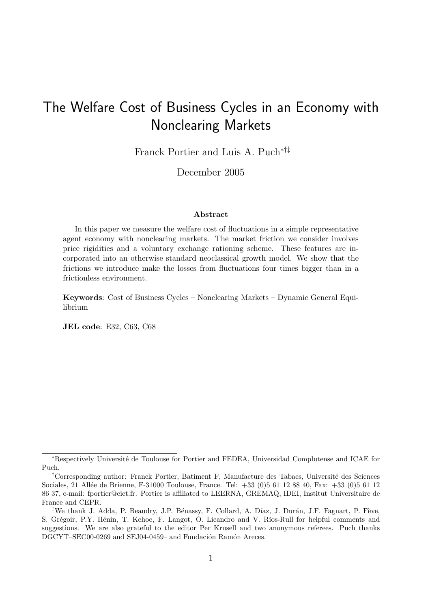# The Western Cost of Business Cycle in an Economy with  $\overline{a}$

Franck Portier and Luis A. Puch∗†‡

December 2005

#### **Abstract**

In this paper we measure the welfare cost of fluctuations in a simple representative agent economy with nonclearing markets. The market friction we consider involves price rigidities and a voluntary exchange rationing scheme. These features are incorporated into an otherwise standard neoclassical growth model. We show that the frictions we introduce make the losses from fluctuations four times bigger than in a frictionless environment.

**Keywords**: Cost of Business Cycles – Nonclearing Markets – Dynamic General Equilibrium

**JEL code**: E32, C63, C68

<sup>∗</sup>Respectively Universit´e de Toulouse for Portier and FEDEA, Universidad Complutense and ICAE for Puch.

<sup>&</sup>lt;sup>†</sup>Corresponding author: Franck Portier, Batiment F, Manufacture des Tabacs, Université des Sciences Sociales, 21 Allée de Brienne, F-31000 Toulouse, France. Tel: +33 (0)5 61 12 88 40, Fax: +33 (0)5 61 12 86 37, e-mail: fportier@cict.fr. Portier is affiliated to LEERNA, GREMAQ, IDEI, Institut Universitaire de France and CEPR.

<sup>&</sup>lt;sup>‡</sup>We thank J. Adda, P. Beaudry, J.P. Bénassy, F. Collard, A. Díaz, J. Durán, J.F. Fagnart, P. Fève, S. Grégoir, P.Y. Hénin, T. Kehoe, F. Langot, O. Licandro and V. Ríos-Rull for helpful comments and suggestions. We are also grateful to the editor Per Krusell and two anonymous referees. Puch thanks DGCYT–SEC00-0269 and SEJ04-0459– and Fundación Ramón Areces.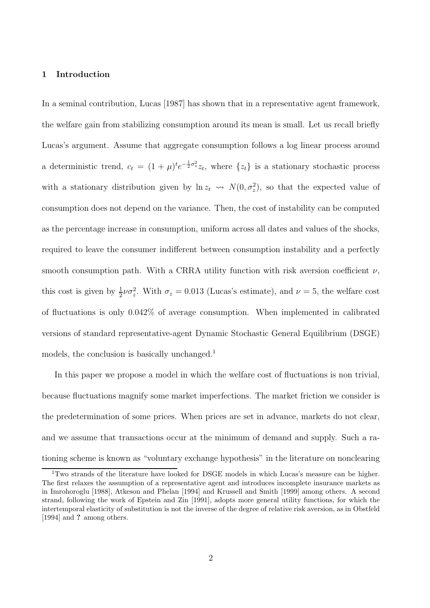### **1 Introduction**

In a seminal contribution, Lucas [1987] has shown that in a representative agent framework, the welfare gain from stabilizing consumption around its mean is small. Let us recall briefly Lucas's argument. Assume that aggregate consumption follows a log linear process around a deterministic trend,  $c_t = (1 + \mu)^t e^{-\frac{1}{2}\sigma_z^2} z_t$ , where  $\{z_t\}$  is a stationary stochastic process with a stationary distribution given by  $\ln z_t \rightsquigarrow N(0, \sigma_z^2)$ , so that the expected value of consumption does not depend on the variance. Then, the cost of instability can be computed as the percentage increase in consumption, uniform across all dates and values of the shocks, required to leave the consumer indifferent between consumption instability and a perfectly smooth consumption path. With a CRRA utility function with risk aversion coefficient  $\nu$ , this cost is given by  $\frac{1}{2}\nu\sigma_z^2$ . With  $\sigma_z = 0.013$  (Lucas's estimate), and  $\nu = 5$ , the welfare cost of fluctuations is only 0.042% of average consumption. When implemented in calibrated versions of standard representative-agent Dynamic Stochastic General Equilibrium (DSGE) models, the conclusion is basically unchanged.<sup>1</sup>

In this paper we propose a model in which the welfare cost of fluctuations is non trivial, because fluctuations magnify some market imperfections. The market friction we consider is the predetermination of some prices. When prices are set in advance, markets do not clear, and we assume that transactions occur at the minimum of demand and supply. Such a rationing scheme is known as "voluntary exchange hypothesis" in the literature on nonclearing

<sup>1</sup>Two strands of the literature have looked for DSGE models in which Lucas's measure can be higher. The first relaxes the assumption of a representative agent and introduces incomplete insurance markets as in Imrohoroglu [1988], Atkeson and Phelan [1994] and Krussell and Smith [1999] among others. A second strand, following the work of Epstein and Zin [1991], adopts more general utility functions, for which the intertemporal elasticity of substitution is not the inverse of the degree of relative risk aversion, as in Obstfeld [1994] and **?** among others.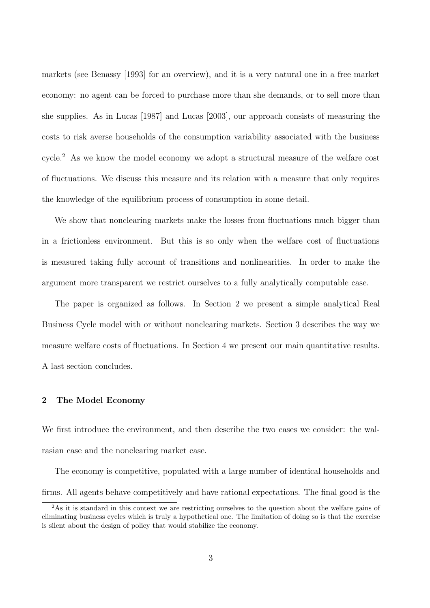markets (see Benassy [1993] for an overview), and it is a very natural one in a free market economy: no agent can be forced to purchase more than she demands, or to sell more than she supplies. As in Lucas [1987] and Lucas [2003], our approach consists of measuring the costs to risk averse households of the consumption variability associated with the business cycle.<sup>2</sup> As we know the model economy we adopt a structural measure of the welfare cost of fluctuations. We discuss this measure and its relation with a measure that only requires the knowledge of the equilibrium process of consumption in some detail.

We show that nonclearing markets make the losses from fluctuations much bigger than in a frictionless environment. But this is so only when the welfare cost of fluctuations is measured taking fully account of transitions and nonlinearities. In order to make the argument more transparent we restrict ourselves to a fully analytically computable case.

The paper is organized as follows. In Section 2 we present a simple analytical Real Business Cycle model with or without nonclearing markets. Section 3 describes the way we measure welfare costs of fluctuations. In Section 4 we present our main quantitative results. A last section concludes.

# **2 The Model Economy**

We first introduce the environment, and then describe the two cases we consider: the walrasian case and the nonclearing market case.

The economy is competitive, populated with a large number of identical households and firms. All agents behave competitively and have rational expectations. The final good is the

<sup>&</sup>lt;sup>2</sup>As it is standard in this context we are restricting ourselves to the question about the welfare gains of eliminating business cycles which is truly a hypothetical one. The limitation of doing so is that the exercise is silent about the design of policy that would stabilize the economy.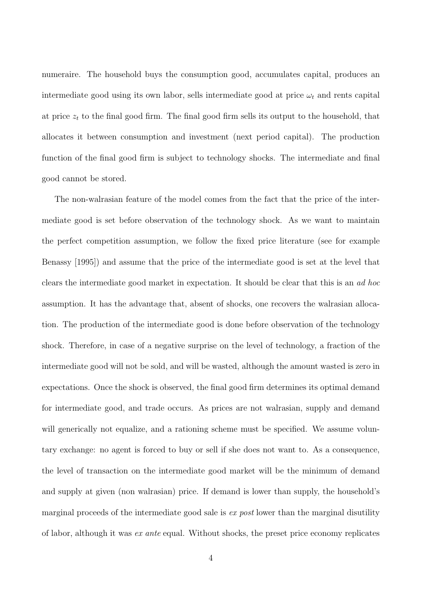numeraire. The household buys the consumption good, accumulates capital, produces an intermediate good using its own labor, sells intermediate good at price  $\omega_t$  and rents capital at price  $z_t$  to the final good firm. The final good firm sells its output to the household, that allocates it between consumption and investment (next period capital). The production function of the final good firm is subject to technology shocks. The intermediate and final good cannot be stored.

The non-walrasian feature of the model comes from the fact that the price of the intermediate good is set before observation of the technology shock. As we want to maintain the perfect competition assumption, we follow the fixed price literature (see for example Benassy [1995]) and assume that the price of the intermediate good is set at the level that clears the intermediate good market in expectation. It should be clear that this is an *ad hoc* assumption. It has the advantage that, absent of shocks, one recovers the walrasian allocation. The production of the intermediate good is done before observation of the technology shock. Therefore, in case of a negative surprise on the level of technology, a fraction of the intermediate good will not be sold, and will be wasted, although the amount wasted is zero in expectations. Once the shock is observed, the final good firm determines its optimal demand for intermediate good, and trade occurs. As prices are not walrasian, supply and demand will generically not equalize, and a rationing scheme must be specified. We assume voluntary exchange: no agent is forced to buy or sell if she does not want to. As a consequence, the level of transaction on the intermediate good market will be the minimum of demand and supply at given (non walrasian) price. If demand is lower than supply, the household's marginal proceeds of the intermediate good sale is *ex post* lower than the marginal disutility of labor, although it was *ex ante* equal. Without shocks, the preset price economy replicates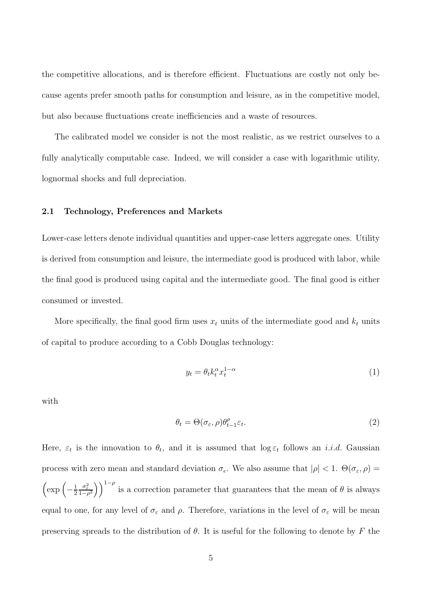the competitive allocations, and is therefore efficient. Fluctuations are costly not only because agents prefer smooth paths for consumption and leisure, as in the competitive model, but also because fluctuations create inefficiencies and a waste of resources.

The calibrated model we consider is not the most realistic, as we restrict ourselves to a fully analytically computable case. Indeed, we will consider a case with logarithmic utility, lognormal shocks and full depreciation.

# **2.1 Technology, Preferences and Markets**

Lower-case letters denote individual quantities and upper-case letters aggregate ones. Utility is derived from consumption and leisure, the intermediate good is produced with labor, while the final good is produced using capital and the intermediate good. The final good is either consumed or invested.

More specifically, the final good firm uses  $x_t$  units of the intermediate good and  $k_t$  units of capital to produce according to a Cobb Douglas technology:

$$
y_t = \theta_t k_t^{\alpha} x_t^{1-\alpha} \tag{1}
$$

with

$$
\theta_t = \Theta(\sigma_{\varepsilon}, \rho) \theta_{t-1}^{\rho} \varepsilon_t. \tag{2}
$$

Here,  $\varepsilon_t$  is the innovation to  $\theta_t$ , and it is assumed that  $\log \varepsilon_t$  follows an *i.i.d.* Gaussian process with zero mean and standard deviation  $\sigma_{\epsilon}$ . We also assume that  $|\rho| < 1$ .  $\Theta(\sigma_{\epsilon}, \rho) =$  $\left(\exp\left(-\frac{1}{2}\right)\right)$ σ2 ε <sup>1</sup>−ρ<sup>2</sup>  $\bigwedge^{1-\rho}$ is a correction parameter that guarantees that the mean of  $\theta$  is always equal to one, for any level of  $\sigma_{\varepsilon}$  and  $\rho$ . Therefore, variations in the level of  $\sigma_{\varepsilon}$  will be mean preserving spreads to the distribution of  $\theta$ . It is useful for the following to denote by F the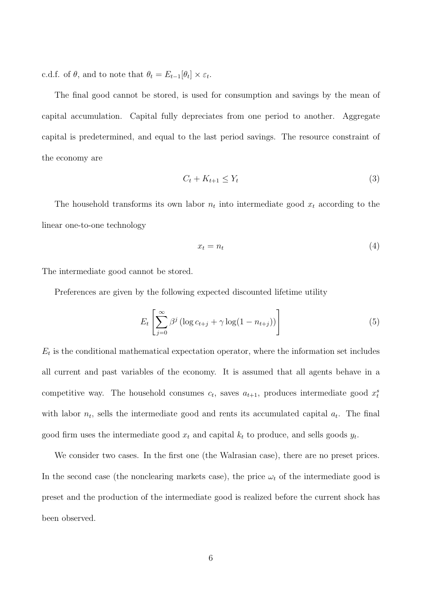c.d.f. of  $\theta$ , and to note that  $\theta_t = E_{t-1}[\theta_t] \times \varepsilon_t$ .

The final good cannot be stored, is used for consumption and savings by the mean of capital accumulation. Capital fully depreciates from one period to another. Aggregate capital is predetermined, and equal to the last period savings. The resource constraint of the economy are

$$
C_t + K_{t+1} \le Y_t \tag{3}
$$

The household transforms its own labor  $n_t$  into intermediate good  $x_t$  according to the linear one-to-one technology

$$
x_t = n_t \tag{4}
$$

The intermediate good cannot be stored.

Preferences are given by the following expected discounted lifetime utility

$$
E_t\left[\sum_{j=0}^{\infty} \beta^j \left(\log c_{t+j} + \gamma \log(1 - n_{t+j})\right)\right]
$$
\n(5)

 $E_t$  is the conditional mathematical expectation operator, where the information set includes all current and past variables of the economy. It is assumed that all agents behave in a competitive way. The household consumes  $c_t$ , saves  $a_{t+1}$ , produces intermediate good  $x_t^s$ with labor  $n_t$ , sells the intermediate good and rents its accumulated capital  $a_t$ . The final good firm uses the intermediate good  $x_t$  and capital  $k_t$  to produce, and sells goods  $y_t$ .

We consider two cases. In the first one (the Walrasian case), there are no preset prices. In the second case (the nonclearing markets case), the price  $\omega_t$  of the intermediate good is preset and the production of the intermediate good is realized before the current shock has been observed.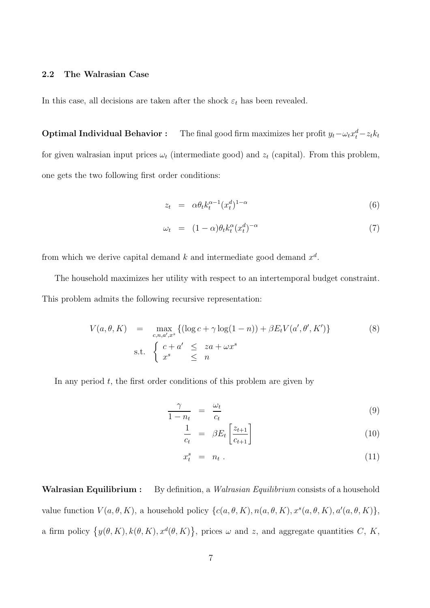## **2.2 The Walrasian Case**

In this case, all decisions are taken after the shock  $\varepsilon_t$  has been revealed.

**Optimal Individual Behavior :** The final good firm maximizes her profit  $y_t - \omega_t x_t^d - z_t k_t$ for given walrasian input prices  $\omega_t$  (intermediate good) and  $z_t$  (capital). From this problem, one gets the two following first order conditions:

$$
z_t = \alpha \theta_t k_t^{\alpha - 1} (x_t^d)^{1 - \alpha} \tag{6}
$$

$$
\omega_t = (1 - \alpha) \theta_t k_t^{\alpha} (x_t^d)^{-\alpha} \tag{7}
$$

from which we derive capital demand k and intermediate good demand  $x<sup>d</sup>$ .

The household maximizes her utility with respect to an intertemporal budget constraint. This problem admits the following recursive representation:

$$
V(a, \theta, K) = \max_{c, n, a', x^s} \{ (\log c + \gamma \log(1 - n)) + \beta E_t V(a', \theta', K') \}
$$
\n
$$
\text{s.t. } \begin{cases} c + a' \leq za + \omega x^s \\ x^s \leq n \end{cases} \tag{8}
$$

In any period  $t$ , the first order conditions of this problem are given by

$$
\frac{\gamma}{1 - n_t} = \frac{\omega_t}{c_t} \tag{9}
$$

$$
\frac{1}{c_t} = \beta E_t \left[ \frac{z_{t+1}}{c_{t+1}} \right] \tag{10}
$$

$$
x_t^s = n_t \tag{11}
$$

**Walrasian Equilibrium :** By definition, a *Walrasian Equilibrium* consists of a household value function  $V(a, \theta, K)$ , a household policy  $\{c(a, \theta, K), n(a, \theta, K), x^s(a, \theta, K), a'(a, \theta, K)\},$ a firm policy  $\{y(\theta,K), k(\theta,K), x^d(\theta,K)\}\$ , prices  $\omega$  and z, and aggregate quantities C, K,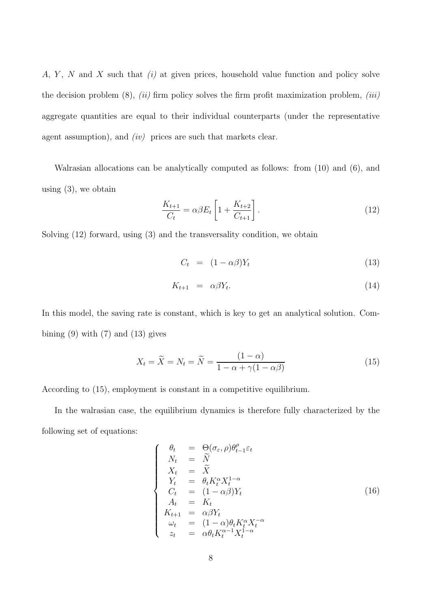A, Y, N and X such that *(i)* at given prices, household value function and policy solve the decision problem (8), *(ii)* firm policy solves the firm profit maximization problem, *(iii)* aggregate quantities are equal to their individual counterparts (under the representative agent assumption), and *(iv)* prices are such that markets clear.

Walrasian allocations can be analytically computed as follows: from (10) and (6), and using  $(3)$ , we obtain

$$
\frac{K_{t+1}}{C_t} = \alpha \beta E_t \left[ 1 + \frac{K_{t+2}}{C_{t+1}} \right].
$$
\n(12)

Solving (12) forward, using (3) and the transversality condition, we obtain

$$
C_t = (1 - \alpha \beta) Y_t \tag{13}
$$

$$
K_{t+1} = \alpha \beta Y_t. \tag{14}
$$

In this model, the saving rate is constant, which is key to get an analytical solution. Combining  $(9)$  with  $(7)$  and  $(13)$  gives

$$
X_t = \widetilde{X} = N_t = \widetilde{N} = \frac{(1 - \alpha)}{1 - \alpha + \gamma(1 - \alpha\beta)}
$$
(15)

According to (15), employment is constant in a competitive equilibrium.

In the walrasian case, the equilibrium dynamics is therefore fully characterized by the following set of equations:

$$
\begin{cases}\n\theta_t = \Theta(\sigma_{\varepsilon}, \rho) \theta_{t-1}^{\rho} \varepsilon_t \\
N_t = \tilde{N} \\
X_t = \tilde{X} \\
Y_t = \theta_t K_t^{\alpha} X_t^{1-\alpha} \\
C_t = (1 - \alpha \beta) Y_t \\
A_t = K_t \\
K_{t+1} = \alpha \beta Y_t \\
\omega_t = (1 - \alpha) \theta_t K_t^{\alpha} X_t^{-\alpha} \\
z_t = \alpha \theta_t K_t^{\alpha-1} X_t^{1-\alpha}\n\end{cases}
$$
\n(16)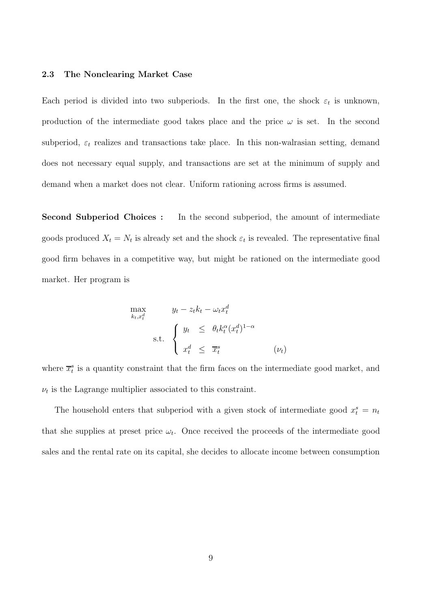## **2.3 The Nonclearing Market Case**

Each period is divided into two subperiods. In the first one, the shock  $\varepsilon_t$  is unknown, production of the intermediate good takes place and the price  $\omega$  is set. In the second subperiod,  $\varepsilon_t$  realizes and transactions take place. In this non-walrasian setting, demand does not necessary equal supply, and transactions are set at the minimum of supply and demand when a market does not clear. Uniform rationing across firms is assumed.

**Second Subperiod Choices :** In the second subperiod, the amount of intermediate goods produced  $X_t = N_t$  is already set and the shock  $\varepsilon_t$  is revealed. The representative final good firm behaves in a competitive way, but might be rationed on the intermediate good market. Her program is

$$
\max_{k_t, x_t^d} \qquad y_t - z_t k_t - \omega_t x_t^d
$$
\n
$$
\text{s.t.} \qquad \begin{cases} y_t \leq \theta_t k_t^{\alpha} (x_t^d)^{1-\alpha} \\ x_t^d \leq \overline{x}_t^s \end{cases} \qquad (\nu_t)
$$

where  $\overline{x}_t^s$  is a quantity constraint that the firm faces on the intermediate good market, and  $\nu_t$  is the Lagrange multiplier associated to this constraint.

The household enters that subperiod with a given stock of intermediate good  $x_t^s = n_t$ that she supplies at preset price  $\omega_t$ . Once received the proceeds of the intermediate good sales and the rental rate on its capital, she decides to allocate income between consumption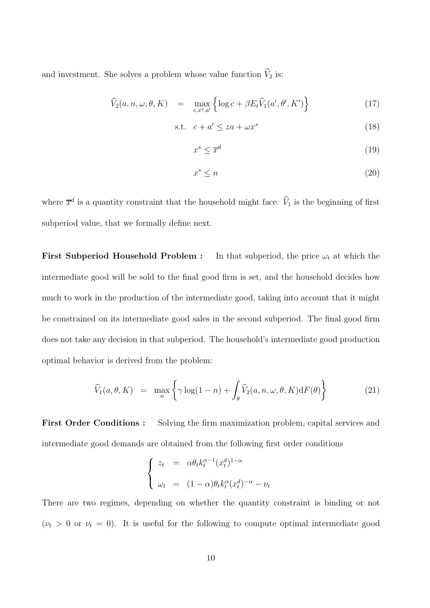and investment. She solves a problem whose value function  $\widehat{V}_2$  is:

$$
\widehat{V}_2(a,n,\omega,\theta,K) = \max_{c,x^s,a'} \left\{ \log c + \beta E_t \widehat{V}_1(a',\theta',K') \right\} \tag{17}
$$

$$
\text{s.t.} \quad c + a' \le za + \omega x^s \tag{18}
$$

$$
x^s \le \overline{x}^d \tag{19}
$$

$$
x^s \le n \tag{20}
$$

where  $\overline{x}^d$  is a quantity constraint that the household might face.  $\widehat{V}_1$  is the beginning of first subperiod value, that we formally define next.

**First Subperiod Household Problem :** In that subperiod, the price  $\omega_t$  at which the intermediate good will be sold to the final good firm is set, and the household decides how much to work in the production of the intermediate good, taking into account that it might be constrained on its intermediate good sales in the second subperiod. The final good firm does not take any decision in that subperiod. The household's intermediate good production optimal behavior is derived from the problem:

$$
\widehat{V}_1(a,\theta,K) = \max_{n} \left\{ \gamma \log(1-n) + \int_{\theta} \widehat{V}_2(a,n,\omega,\theta,K) dF(\theta) \right\} \tag{21}
$$

First Order Conditions : Solving the firm maximization problem, capital services and intermediate good demands are obtained from the following first order conditions

$$
\begin{cases}\n z_t = \alpha \theta_t k_t^{\alpha - 1} (x_t^d)^{1 - \alpha} \\
 \omega_t = (1 - \alpha) \theta_t k_t^{\alpha} (x_t^d)^{-\alpha} - \nu_t\n\end{cases}
$$

There are two regimes, depending on whether the quantity constraint is binding or not ( $\nu_t > 0$  or  $\nu_t = 0$ ). It is useful for the following to compute optimal intermediate good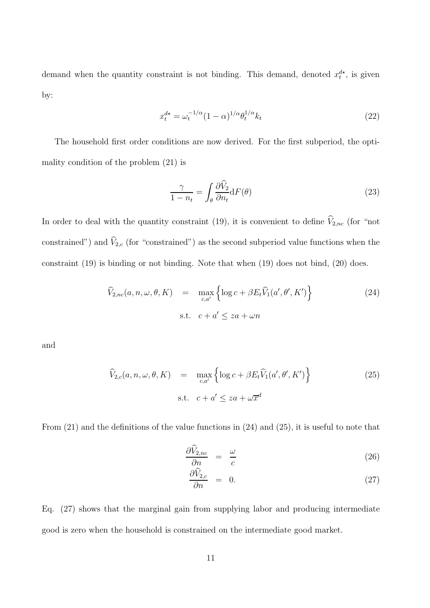demand when the quantity constraint is not binding. This demand, denoted  $x_t^{d*}$ , is given by:

$$
x_t^{d\star} = \omega_t^{-1/\alpha} (1 - \alpha)^{1/\alpha} \theta_t^{1/\alpha} k_t \tag{22}
$$

The household first order conditions are now derived. For the first subperiod, the optimality condition of the problem (21) is

$$
\frac{\gamma}{1 - n_t} = \int_{\theta} \frac{\partial \widehat{V}_2}{\partial n_t} dF(\theta)
$$
\n(23)

In order to deal with the quantity constraint (19), it is convenient to define  $\widehat{V}_{2,nc}$  (for "not constrained") and  $\widehat{V}_{2,c}$  (for "constrained") as the second subperiod value functions when the constraint (19) is binding or not binding. Note that when (19) does not bind, (20) does.

$$
\widehat{V}_{2,nc}(a,n,\omega,\theta,K) = \max_{c,a'} \left\{ \log c + \beta E_t \widehat{V}_1(a',\theta',K') \right\}
$$
\n
$$
\text{s.t. } c + a' \leq za + \omega n \tag{24}
$$

and

$$
\widehat{V}_{2,c}(a,n,\omega,\theta,K) = \max_{c,a'} \left\{ \log c + \beta E_t \widehat{V}_1(a',\theta',K') \right\}
$$
\n
$$
\text{s.t. } c + a' \leq za + \omega \overline{x}^d \tag{25}
$$

From (21) and the definitions of the value functions in (24) and (25), it is useful to note that

$$
\frac{\partial \widehat{V}_{2,nc}}{\partial n} = \frac{\omega}{c} \tag{26}
$$

$$
\frac{\partial V_{2,c}}{\partial n} = 0. \tag{27}
$$

Eq. (27) shows that the marginal gain from supplying labor and producing intermediate good is zero when the household is constrained on the intermediate good market.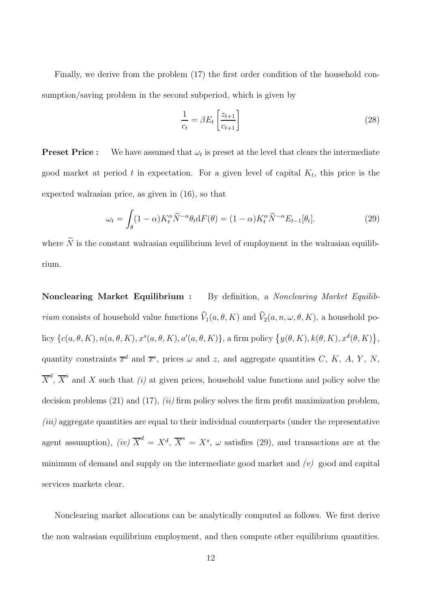Finally, we derive from the problem (17) the first order condition of the household consumption/saving problem in the second subperiod, which is given by

$$
\frac{1}{c_t} = \beta E_t \left[ \frac{z_{t+1}}{c_{t+1}} \right] \tag{28}
$$

**Preset Price :** We have assumed that  $\omega_t$  is preset at the level that clears the intermediate good market at period t in expectation. For a given level of capital  $K_t$ , this price is the expected walrasian price, as given in (16), so that

$$
\omega_t = \int_{\theta} (1 - \alpha) K_t^{\alpha} \widetilde{N}^{-\alpha} \theta_t dF(\theta) = (1 - \alpha) K_t^{\alpha} \widetilde{N}^{-\alpha} E_{t-1}[\theta_t]. \tag{29}
$$

where  $\widetilde{N}$  is the constant walrasian equilibrium level of employment in the walrasian equilibrium.

**Nonclearing Market Equilibrium :** By definition, a *Nonclearing Market Equilibrium* consists of household value functions  $\widehat{V}_1(a, \theta, K)$  and  $\widehat{V}_2(a, n, \omega, \theta, K)$ , a household policy  $\{c(a, \theta, K), n(a, \theta, K), x^s(a, \theta, K), a'(a, \theta, K)\},$  a firm policy  $\{y(\theta, K), k(\theta, K), x^d(\theta, K)\},$ quantity constraints  $\overline{x}^d$  and  $\overline{x}^s$ , prices  $\omega$  and z, and aggregate quantities C, K, A, Y, N,  $\overline{X}^d$ ,  $\overline{X}^s$  and X such that *(i)* at given prices, household value functions and policy solve the decision problems (21) and (17), *(ii)* firm policy solves the firm profit maximization problem, *(iii)* aggregate quantities are equal to their individual counterparts (under the representative agent assumption), *(iv)*  $\overline{X}^d = X^d$ ,  $\overline{X}^s = X^s$ ,  $\omega$  satisfies (29), and transactions are at the minimum of demand and supply on the intermediate good market and *(v)* good and capital services markets clear.

Nonclearing market allocations can be analytically computed as follows. We first derive the non walrasian equilibrium employment, and then compute other equilibrium quantities.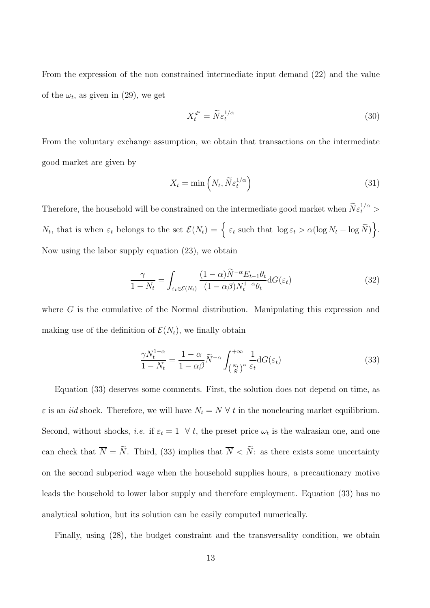From the expression of the non constrained intermediate input demand (22) and the value of the  $\omega_t$ , as given in (29), we get

$$
X_t^{d^*} = \tilde{N} \varepsilon_t^{1/\alpha} \tag{30}
$$

From the voluntary exchange assumption, we obtain that transactions on the intermediate good market are given by

$$
X_t = \min\left(N_t, \tilde{N}\varepsilon_t^{1/\alpha}\right) \tag{31}
$$

Therefore, the household will be constrained on the intermediate good market when  $\widetilde{N}\varepsilon_t^{1/\alpha}$   $>$  $N_t$ , that is when  $\varepsilon_t$  belongs to the set  $\mathcal{E}(N_t) = \left\{ \varepsilon_t \text{ such that } \log \varepsilon_t > \alpha (\log N_t - \log \tilde{N}) \right\}$ . Now using the labor supply equation (23), we obtain

$$
\frac{\gamma}{1 - N_t} = \int_{\varepsilon_t \in \mathcal{E}(N_t)} \frac{(1 - \alpha) \widetilde{N}^{-\alpha} E_{t-1} \theta_t}{(1 - \alpha \beta) N_t^{1 - \alpha} \theta_t} \mathrm{d}G(\varepsilon_t) \tag{32}
$$

where G is the cumulative of the Normal distribution. Manipulating this expression and making use of the definition of  $\mathcal{E}(N_t)$ , we finally obtain

$$
\frac{\gamma N_t^{1-\alpha}}{1-N_t} = \frac{1-\alpha}{1-\alpha\beta} \widetilde{N}^{-\alpha} \int_{\left(\frac{N_t}{\widetilde{N}}\right)^{\alpha}}^{+\infty} \frac{1}{\varepsilon_t} dG(\varepsilon_t)
$$
(33)

Equation (33) deserves some comments. First, the solution does not depend on time, as  $\varepsilon$  is an *iid* shock. Therefore, we will have  $N_t = \overline{N} \ \forall \ t$  in the nonclearing market equilibrium. Second, without shocks, *i.e.* if  $\varepsilon_t = 1 \quad \forall \ t$ , the preset price  $\omega_t$  is the walrasian one, and one can check that  $\overline{N} = \widetilde{N}$ . Third, (33) implies that  $\overline{N} < \widetilde{N}$ : as there exists some uncertainty on the second subperiod wage when the household supplies hours, a precautionary motive leads the household to lower labor supply and therefore employment. Equation (33) has no analytical solution, but its solution can be easily computed numerically.

Finally, using (28), the budget constraint and the transversality condition, we obtain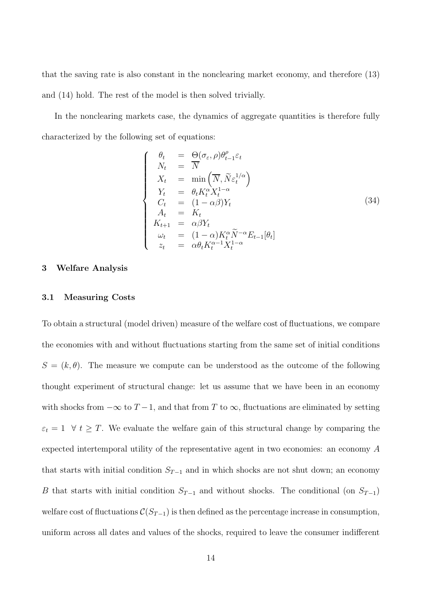that the saving rate is also constant in the nonclearing market economy, and therefore (13) and (14) hold. The rest of the model is then solved trivially.

In the nonclearing markets case, the dynamics of aggregate quantities is therefore fully characterized by the following set of equations:

$$
\begin{cases}\n\theta_t &= \frac{\Theta(\sigma_{\varepsilon}, \rho)\theta_{t-1}^{\rho}\varepsilon_t}{N_t} \\
X_t &= \min\left(\overline{N}, \widetilde{N}\varepsilon_t^{1/\alpha}\right) \\
Y_t &= \theta_t K_t^{\alpha} X_t^{1-\alpha} \\
C_t &= (1-\alpha\beta)Y_t \\
A_t &= K_t \\
K_{t+1} &= \alpha\beta Y_t \\
\omega_t &= (1-\alpha)K_t^{\alpha} \widetilde{N}^{-\alpha} E_{t-1}[\theta_t] \\
z_t &= \alpha\theta_t K_t^{\alpha-1} X_t^{1-\alpha}\n\end{cases} \tag{34}
$$

## **3 Welfare Analysis**

## **3.1 Measuring Costs**

To obtain a structural (model driven) measure of the welfare cost of fluctuations, we compare the economies with and without fluctuations starting from the same set of initial conditions  $S = (k, \theta)$ . The measure we compute can be understood as the outcome of the following thought experiment of structural change: let us assume that we have been in an economy with shocks from  $-\infty$  to  $T-1$ , and that from T to  $\infty$ , fluctuations are eliminated by setting  $\varepsilon_t = 1 \ \forall t \geq T$ . We evaluate the welfare gain of this structural change by comparing the expected intertemporal utility of the representative agent in two economies: an economy A that starts with initial condition  $S_{T-1}$  and in which shocks are not shut down; an economy B that starts with initial condition  $S_{T-1}$  and without shocks. The conditional (on  $S_{T-1}$ ) welfare cost of fluctuations  $\mathcal{C}(S_{T-1})$  is then defined as the percentage increase in consumption, uniform across all dates and values of the shocks, required to leave the consumer indifferent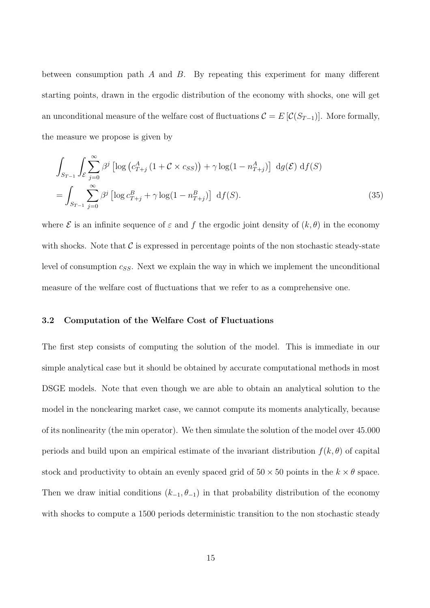between consumption path A and B. By repeating this experiment for many different starting points, drawn in the ergodic distribution of the economy with shocks, one will get an unconditional measure of the welfare cost of fluctuations  $\mathcal{C} = E\left[\mathcal{C}(S_{T-1})\right]$ . More formally, the measure we propose is given by

$$
\int_{S_{T-1}} \int_{\mathcal{E}} \sum_{j=0}^{\infty} \beta^j \left[ \log \left( c_{T+j}^A \left( 1 + \mathcal{C} \times c_{SS} \right) \right) + \gamma \log \left( 1 - n_{T+j}^A \right) \right] \, \mathrm{d}g(\mathcal{E}) \, \mathrm{d}f(S)
$$
\n
$$
= \int_{S_{T-1}} \sum_{j=0}^{\infty} \beta^j \left[ \log c_{T+j}^B + \gamma \log \left( 1 - n_{T+j}^B \right) \right] \, \mathrm{d}f(S). \tag{35}
$$

where  $\mathcal E$  is an infinite sequence of  $\varepsilon$  and f the ergodic joint density of  $(k, \theta)$  in the economy with shocks. Note that  $\mathcal C$  is expressed in percentage points of the non stochastic steady-state level of consumption  $c_{SS}$ . Next we explain the way in which we implement the unconditional measure of the welfare cost of fluctuations that we refer to as a comprehensive one.

# **3.2 Computation of the Welfare Cost of Fluctuations**

The first step consists of computing the solution of the model. This is immediate in our simple analytical case but it should be obtained by accurate computational methods in most DSGE models. Note that even though we are able to obtain an analytical solution to the model in the nonclearing market case, we cannot compute its moments analytically, because of its nonlinearity (the min operator). We then simulate the solution of the model over 45.000 periods and build upon an empirical estimate of the invariant distribution  $f(k, \theta)$  of capital stock and productivity to obtain an evenly spaced grid of  $50 \times 50$  points in the  $k \times \theta$  space. Then we draw initial conditions  $(k_{-1}, \theta_{-1})$  in that probability distribution of the economy with shocks to compute a 1500 periods deterministic transition to the non stochastic steady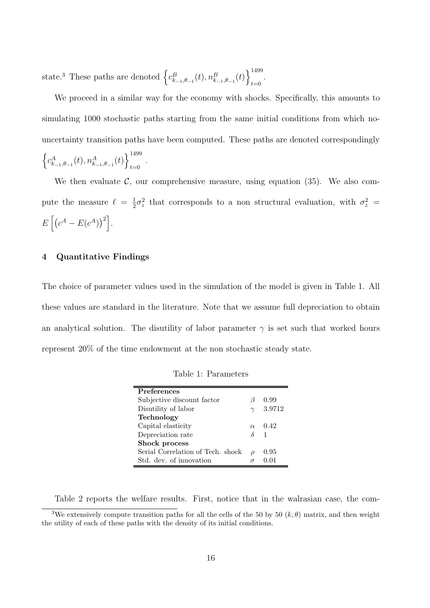state.<sup>3</sup> These paths are denoted  $\left\{c_{k_{-1},\theta_{-1}}^B(t), n_{k_{-1},\theta_{-1}}^B(t)\right\}_{t=0}^{1499}$  $t=0$ .

We proceed in a similar way for the economy with shocks. Specifically, this amounts to simulating 1000 stochastic paths starting from the same initial conditions from which nouncertainty transition paths have been computed. These paths are denoted correspondingly  $\left\{c_{k_{-1},\theta_{-1}}^{A}(t),n_{k_{-1},\theta_{-1}}^{A}(t)\right\}_{t=0}^{1499}$  $t=0$  .

We then evaluate  $\mathcal{C}$ , our comprehensive measure, using equation (35). We also compute the measure  $\ell = \frac{1}{2}\sigma_z^2$  that corresponds to a non structural evaluation, with  $\sigma_z^2 =$  $E\left[\left(c^A - E(c^A)\right)^2\right].$ 

## **4 Quantitative Findings**

The choice of parameter values used in the simulation of the model is given in Table 1. All these values are standard in the literature. Note that we assume full depreciation to obtain an analytical solution. The disutility of labor parameter  $\gamma$  is set such that worked hours represent 20% of the time endowment at the non stochastic steady state.

| <b>Preferences</b>                |               |        |
|-----------------------------------|---------------|--------|
| Subjective discount factor        | 11            | 0.99   |
| Disutility of labor               |               | 3.9712 |
| Technology                        |               |        |
| Capital elasticity                | $\alpha$      | 0.42   |
| Depreciation rate                 | δ             | 1      |
| Shock process                     |               |        |
| Serial Correlation of Tech. shock | $\mathcal{D}$ | 0.95   |
| Std. dev. of innovation           |               |        |

Table 1: Parameters

Table 2 reports the welfare results. First, notice that in the walrasian case, the com-

<sup>&</sup>lt;sup>3</sup>We extensively compute transition paths for all the cells of the 50 by 50  $(k, \theta)$  matrix, and then weight the utility of each of these paths with the density of its initial conditions.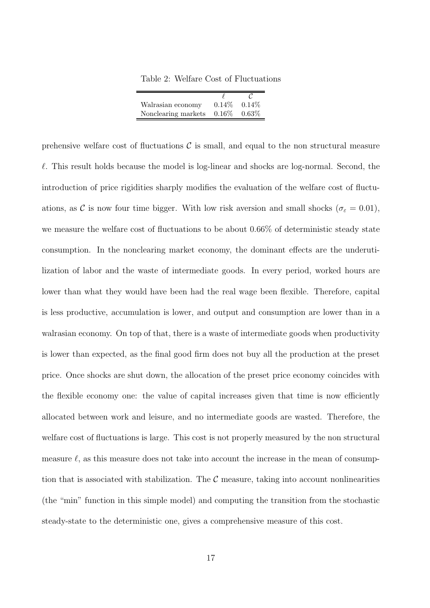Table 2: Welfare Cost of Fluctuations

| Walrasian economy   | $0.14\%$        | $0.14\%$ |
|---------------------|-----------------|----------|
| Nonclearing markets | $0.16\%$ 0.63\% |          |

prehensive welfare cost of fluctuations  $\mathcal C$  is small, and equal to the non structural measure  $\ell$ . This result holds because the model is log-linear and shocks are log-normal. Second, the introduction of price rigidities sharply modifies the evaluation of the welfare cost of fluctuations, as C is now four time bigger. With low risk aversion and small shocks ( $\sigma_{\varepsilon} = 0.01$ ), we measure the welfare cost of fluctuations to be about 0.66% of deterministic steady state consumption. In the nonclearing market economy, the dominant effects are the underutilization of labor and the waste of intermediate goods. In every period, worked hours are lower than what they would have been had the real wage been flexible. Therefore, capital is less productive, accumulation is lower, and output and consumption are lower than in a walrasian economy. On top of that, there is a waste of intermediate goods when productivity is lower than expected, as the final good firm does not buy all the production at the preset price. Once shocks are shut down, the allocation of the preset price economy coincides with the flexible economy one: the value of capital increases given that time is now efficiently allocated between work and leisure, and no intermediate goods are wasted. Therefore, the welfare cost of fluctuations is large. This cost is not properly measured by the non structural measure  $\ell$ , as this measure does not take into account the increase in the mean of consumption that is associated with stabilization. The  $\mathcal C$  measure, taking into account nonlinearities (the "min" function in this simple model) and computing the transition from the stochastic steady-state to the deterministic one, gives a comprehensive measure of this cost.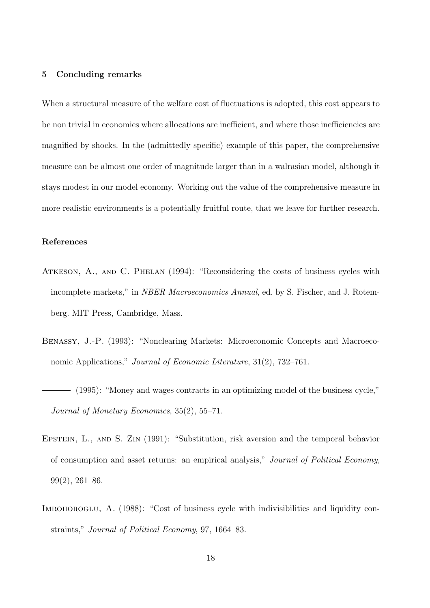## **5 Concluding remarks**

When a structural measure of the welfare cost of fluctuations is adopted, this cost appears to be non trivial in economies where allocations are inefficient, and where those inefficiencies are magnified by shocks. In the (admittedly specific) example of this paper, the comprehensive measure can be almost one order of magnitude larger than in a walrasian model, although it stays modest in our model economy. Working out the value of the comprehensive measure in more realistic environments is a potentially fruitful route, that we leave for further research.

# **References**

- Atkeson, A., and C. Phelan (1994): "Reconsidering the costs of business cycles with incomplete markets," in *NBER Macroeconomics Annual*, ed. by S. Fischer, and J. Rotemberg. MIT Press, Cambridge, Mass.
- Benassy, J.-P. (1993): "Nonclearing Markets: Microeconomic Concepts and Macroeconomic Applications," *Journal of Economic Literature*, 31(2), 732–761.
- (1995): "Money and wages contracts in an optimizing model of the business cycle," *Journal of Monetary Economics*, 35(2), 55–71.
- Epstein, L., and S. Zin (1991): "Substitution, risk aversion and the temporal behavior of consumption and asset returns: an empirical analysis," *Journal of Political Economy*, 99(2), 261–86.
- IMROHOROGLU, A. (1988): "Cost of business cycle with indivisibilities and liquidity constraints," *Journal of Political Economy*, 97, 1664–83.